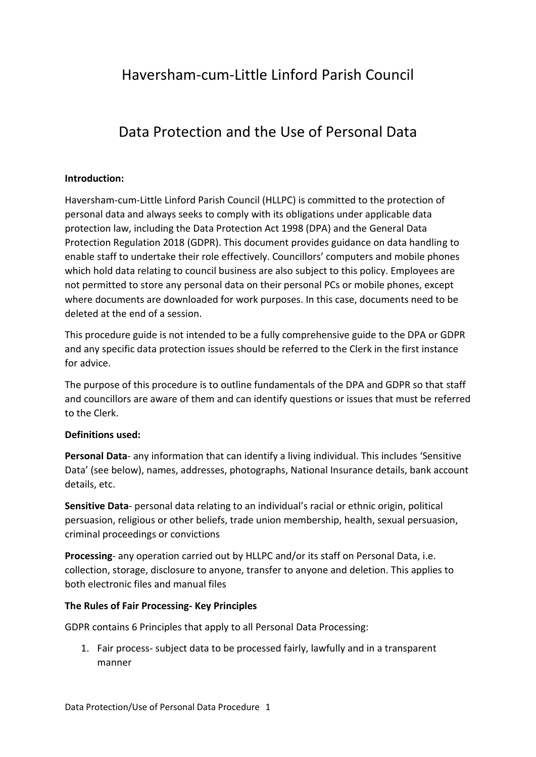# Haversham-cum-Little Linford Parish Council

# Data Protection and the Use of Personal Data

### **Introduction:**

Haversham-cum-Little Linford Parish Council (HLLPC) is committed to the protection of personal data and always seeks to comply with its obligations under applicable data protection law, including the Data Protection Act 1998 (DPA) and the General Data Protection Regulation 2018 (GDPR). This document provides guidance on data handling to enable staff to undertake their role effectively. Councillors' computers and mobile phones which hold data relating to council business are also subject to this policy. Employees are not permitted to store any personal data on their personal PCs or mobile phones, except where documents are downloaded for work purposes. In this case, documents need to be deleted at the end of a session.

This procedure guide is not intended to be a fully comprehensive guide to the DPA or GDPR and any specific data protection issues should be referred to the Clerk in the first instance for advice.

The purpose of this procedure is to outline fundamentals of the DPA and GDPR so that staff and councillors are aware of them and can identify questions or issues that must be referred to the Clerk.

### **Definitions used:**

**Personal Data**- any information that can identify a living individual. This includes 'Sensitive Data' (see below), names, addresses, photographs, National Insurance details, bank account details, etc.

**Sensitive Data**- personal data relating to an individual's racial or ethnic origin, political persuasion, religious or other beliefs, trade union membership, health, sexual persuasion, criminal proceedings or convictions

**Processing**- any operation carried out by HLLPC and/or its staff on Personal Data, i.e. collection, storage, disclosure to anyone, transfer to anyone and deletion. This applies to both electronic files and manual files

### **The Rules of Fair Processing- Key Principles**

GDPR contains 6 Principles that apply to all Personal Data Processing:

1. Fair process- subject data to be processed fairly, lawfully and in a transparent manner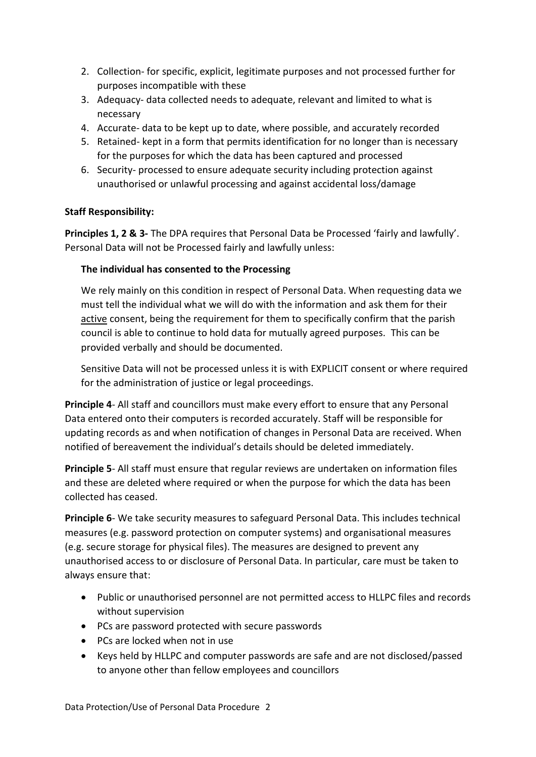- 2. Collection- for specific, explicit, legitimate purposes and not processed further for purposes incompatible with these
- 3. Adequacy- data collected needs to adequate, relevant and limited to what is necessary
- 4. Accurate- data to be kept up to date, where possible, and accurately recorded
- 5. Retained- kept in a form that permits identification for no longer than is necessary for the purposes for which the data has been captured and processed
- 6. Security- processed to ensure adequate security including protection against unauthorised or unlawful processing and against accidental loss/damage

# **Staff Responsibility:**

**Principles 1, 2 & 3-** The DPA requires that Personal Data be Processed 'fairly and lawfully'. Personal Data will not be Processed fairly and lawfully unless:

# **The individual has consented to the Processing**

We rely mainly on this condition in respect of Personal Data. When requesting data we must tell the individual what we will do with the information and ask them for their active consent, being the requirement for them to specifically confirm that the parish council is able to continue to hold data for mutually agreed purposes. This can be provided verbally and should be documented.

Sensitive Data will not be processed unless it is with EXPLICIT consent or where required for the administration of justice or legal proceedings.

**Principle 4**- All staff and councillors must make every effort to ensure that any Personal Data entered onto their computers is recorded accurately. Staff will be responsible for updating records as and when notification of changes in Personal Data are received. When notified of bereavement the individual's details should be deleted immediately.

**Principle 5**- All staff must ensure that regular reviews are undertaken on information files and these are deleted where required or when the purpose for which the data has been collected has ceased.

**Principle 6**- We take security measures to safeguard Personal Data. This includes technical measures (e.g. password protection on computer systems) and organisational measures (e.g. secure storage for physical files). The measures are designed to prevent any unauthorised access to or disclosure of Personal Data. In particular, care must be taken to always ensure that:

- Public or unauthorised personnel are not permitted access to HLLPC files and records without supervision
- PCs are password protected with secure passwords
- PCs are locked when not in use
- Keys held by HLLPC and computer passwords are safe and are not disclosed/passed to anyone other than fellow employees and councillors